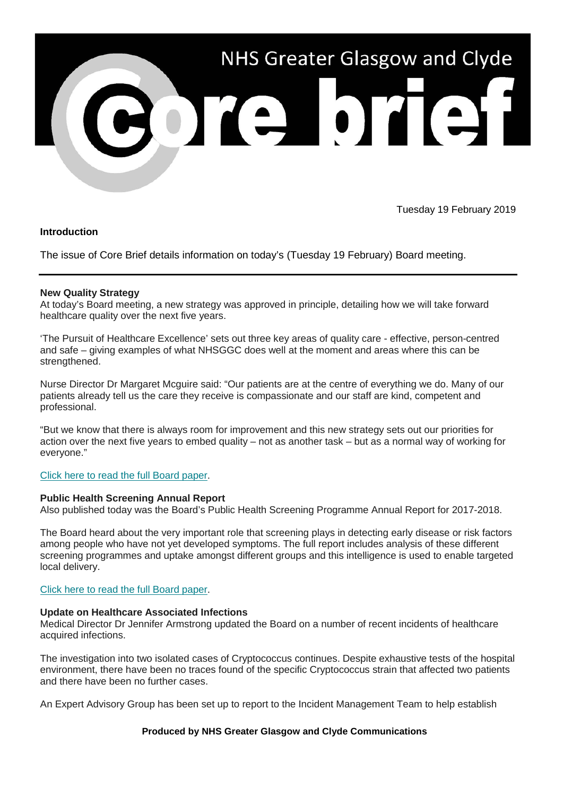

Tuesday 19 February 2019

## **Introduction**

The issue of Core Brief details information on today's (Tuesday 19 February) Board meeting.

# **New Quality Strategy**

At today's Board meeting, a new strategy was approved in principle, detailing how we will take forward healthcare quality over the next five years.

'The Pursuit of Healthcare Excellence' sets out three key areas of quality care - effective, person-centred and safe – giving examples of what NHSGGC does well at the moment and areas where this can be strengthened.

Nurse Director Dr Margaret Mcguire said: "Our patients are at the centre of everything we do. Many of our patients already tell us the care they receive is compassionate and our staff are kind, competent and professional.

"But we know that there is always room for improvement and this new strategy sets out our priorities for action over the next five years to embed quality – not as another task – but as a normal way of working for everyone."

## [Click here to read the full Board paper.](https://nhsggc.us12.list-manage.com/track/click?u=0f385b5aea37eaf0213bd19fb&id=99b04dc609&e=5af5e1832c)

## **Public Health Screening Annual Report**

Also published today was the Board's Public Health Screening Programme Annual Report for 2017-2018.

The Board heard about the very important role that screening plays in detecting early disease or risk factors among people who have not yet developed symptoms. The full report includes analysis of these different screening programmes and uptake amongst different groups and this intelligence is used to enable targeted local delivery.

## Click here to read [the full Board paper.](https://nhsggc.us12.list-manage.com/track/click?u=0f385b5aea37eaf0213bd19fb&id=76b6d44715&e=5af5e1832c)

## **Update on Healthcare Associated Infections**

Medical Director Dr Jennifer Armstrong updated the Board on a number of recent incidents of healthcare acquired infections.

The investigation into two isolated cases of Cryptococcus continues. Despite exhaustive tests of the hospital environment, there have been no traces found of the specific Cryptococcus strain that affected two patients and there have been no further cases.

An Expert Advisory Group has been set up to report to the Incident Management Team to help establish

## **Produced by NHS Greater Glasgow and Clyde Communications**